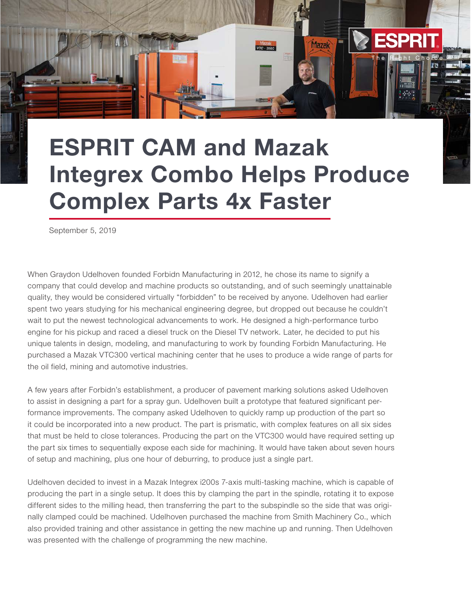## ESPRIT CAM and Mazak Integrex Combo Helps Produce Complex Parts 4x Faster

 $\sf The$  Right Choice

**ESPRI** 

**Mazak** 

**VTC - 300C** 

September 5, 2019

When Graydon Udelhoven founded Forbidn Manufacturing in 2012, he chose its name to signify a company that could develop and machine products so outstanding, and of such seemingly unattainable quality, they would be considered virtually "forbidden" to be received by anyone. Udelhoven had earlier spent two years studying for his mechanical engineering degree, but dropped out because he couldn't wait to put the newest technological advancements to work. He designed a high-performance turbo engine for his pickup and raced a diesel truck on the Diesel TV network. Later, he decided to put his unique talents in design, modeling, and manufacturing to work by founding Forbidn Manufacturing. He purchased a Mazak VTC300 vertical machining center that he uses to produce a wide range of parts for the oil field, mining and automotive industries.

A few years after Forbidn's establishment, a producer of pavement marking solutions asked Udelhoven to assist in designing a part for a spray gun. Udelhoven built a prototype that featured significant performance improvements. The company asked Udelhoven to quickly ramp up production of the part so it could be incorporated into a new product. The part is prismatic, with complex features on all six sides that must be held to close tolerances. Producing the part on the VTC300 would have required setting up the part six times to sequentially expose each side for machining. It would have taken about seven hours of setup and machining, plus one hour of deburring, to produce just a single part.

Udelhoven decided to invest in a Mazak Integrex i200s 7-axis multi-tasking machine, which is capable of producing the part in a single setup. It does this by clamping the part in the spindle, rotating it to expose different sides to the milling head, then transferring the part to the subspindle so the side that was originally clamped could be machined. Udelhoven purchased the machine from Smith Machinery Co., which also provided training and other assistance in getting the new machine up and running. Then Udelhoven was presented with the challenge of programming the new machine.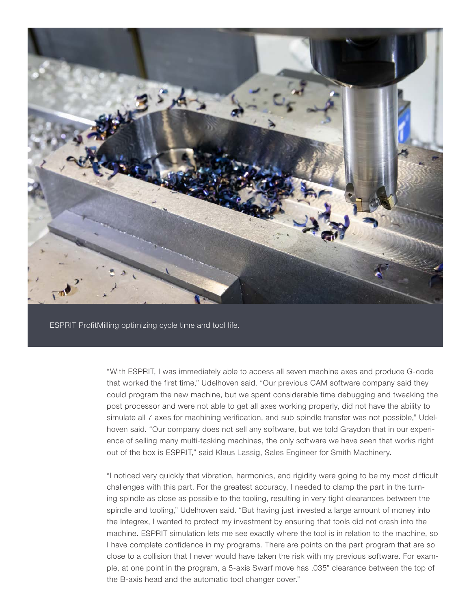

"With ESPRIT, I was immediately able to access all seven machine axes and produce G-code that worked the first time," Udelhoven said. "Our previous CAM software company said they could program the new machine, but we spent considerable time debugging and tweaking the post processor and were not able to get all axes working properly, did not have the ability to simulate all 7 axes for machining verification, and sub spindle transfer was not possible," Udelhoven said. "Our company does not sell any software, but we told Graydon that in our experience of selling many multi-tasking machines, the only software we have seen that works right out of the box is ESPRIT," said Klaus Lassig, Sales Engineer for Smith Machinery.

"I noticed very quickly that vibration, harmonics, and rigidity were going to be my most difficult challenges with this part. For the greatest accuracy, I needed to clamp the part in the turning spindle as close as possible to the tooling, resulting in very tight clearances between the spindle and tooling," Udelhoven said. "But having just invested a large amount of money into the Integrex, I wanted to protect my investment by ensuring that tools did not crash into the machine. ESPRIT simulation lets me see exactly where the tool is in relation to the machine, so I have complete confidence in my programs. There are points on the part program that are so close to a collision that I never would have taken the risk with my previous software. For example, at one point in the program, a 5-axis Swarf move has .035" clearance between the top of the B-axis head and the automatic tool changer cover."